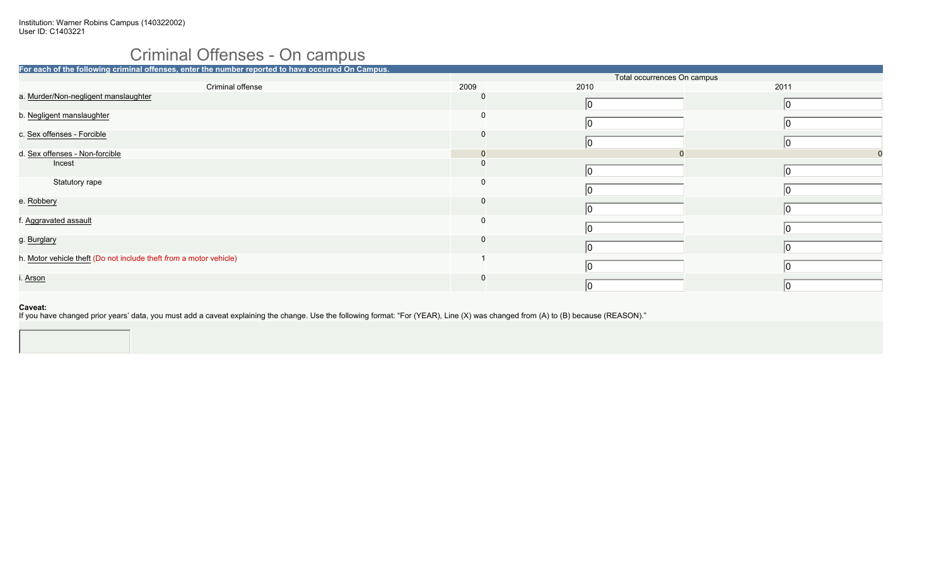## Criminal Offenses - On campus

| For each of the following criminal offenses, enter the number reported to have occurred On Campus. |      |                             |      |
|----------------------------------------------------------------------------------------------------|------|-----------------------------|------|
|                                                                                                    |      | Total occurrences On campus |      |
| Criminal offense                                                                                   | 2009 | 2010                        | 2011 |
| a. Murder/Non-negligent manslaughter                                                               | 0    |                             | 10   |
| b. Negligent manslaughter                                                                          | 0    |                             |      |
| c. Sex offenses - Forcible                                                                         | 0    |                             | 10   |
| d. Sex offenses - Non-forcible                                                                     |      |                             |      |
| Incest                                                                                             |      |                             |      |
| Statutory rape                                                                                     | 0    |                             |      |
| e. Robbery                                                                                         | υ    |                             |      |
| f. Aggravated assault                                                                              | 0    |                             |      |
| g. Burglary                                                                                        |      |                             | IO   |
| h. Motor vehicle theft (Do not include theft from a motor vehicle)                                 |      |                             | 10   |
| i. Arson                                                                                           |      | 10                          | 10   |
|                                                                                                    |      |                             |      |

### **Caveat:**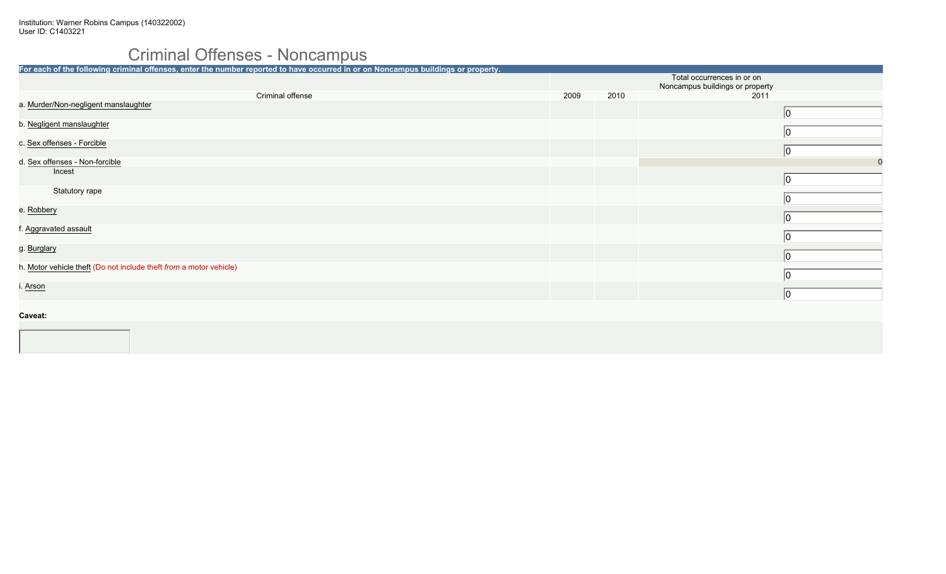# Criminal Offenses - Noncampus

| For each of the following criminal offenses, enter the number reported to have occurred in or on Noncampus buildings or property. |      |      |                                 |
|-----------------------------------------------------------------------------------------------------------------------------------|------|------|---------------------------------|
|                                                                                                                                   |      |      | Total occurrences in or on      |
|                                                                                                                                   |      |      | Noncampus buildings or property |
| Criminal offense                                                                                                                  | 2009 | 2010 | 2011                            |
| a. Murder/Non-negligent manslaughter                                                                                              |      |      | $ 0\rangle$                     |
| b. Negligent manslaughter                                                                                                         |      |      | 10                              |
| c. Sex offenses - Forcible                                                                                                        |      |      | 10                              |
| d. Sex offenses - Non-forcible                                                                                                    |      |      | $\mathbf 0$                     |
| Incest                                                                                                                            |      |      | $ 0\rangle$                     |
| Statutory rape                                                                                                                    |      |      | 10                              |
| e. Robbery                                                                                                                        |      |      | $ 0\rangle$                     |
| f. Aggravated assault                                                                                                             |      |      | 10                              |
| g. Burglary                                                                                                                       |      |      | $ 0\rangle$                     |
| h. Motor vehicle theft (Do not include theft from a motor vehicle)                                                                |      |      | 0                               |
| i. <u>Arson</u>                                                                                                                   |      |      | $ 0\rangle$                     |
| Caveat:                                                                                                                           |      |      |                                 |
|                                                                                                                                   |      |      |                                 |
|                                                                                                                                   |      |      |                                 |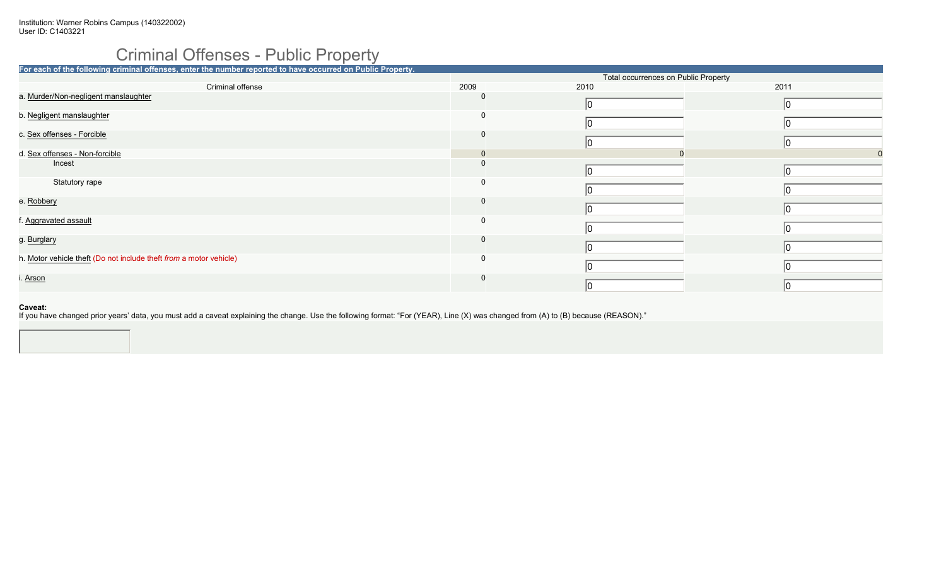# Criminal Offenses - Public Property

| For each of the following criminal offenses, enter the number reported to have occurred on Public Property. |              |      |                                      |
|-------------------------------------------------------------------------------------------------------------|--------------|------|--------------------------------------|
|                                                                                                             |              |      | Total occurrences on Public Property |
| Criminal offense                                                                                            | 2009         | 2010 | 2011                                 |
| a. Murder/Non-negligent manslaughter                                                                        | $\Omega$     |      | 10                                   |
| b. Negligent manslaughter                                                                                   |              |      |                                      |
| c. Sex offenses - Forcible                                                                                  | $\Omega$     |      |                                      |
| d. Sex offenses - Non-forcible                                                                              | $\mathbf{0}$ |      |                                      |
| Incest                                                                                                      |              |      |                                      |
| Statutory rape                                                                                              | $\Omega$     |      |                                      |
| e. Robbery                                                                                                  | $\Omega$     |      |                                      |
| f. Aggravated assault                                                                                       | $\Omega$     |      |                                      |
| g. Burglary                                                                                                 | $\Omega$     |      |                                      |
| h. Motor vehicle theft (Do not include theft from a motor vehicle)                                          | 0            |      |                                      |
| i. Arson                                                                                                    | <sup>0</sup> |      | 10                                   |
|                                                                                                             |              |      |                                      |

### **Caveat:**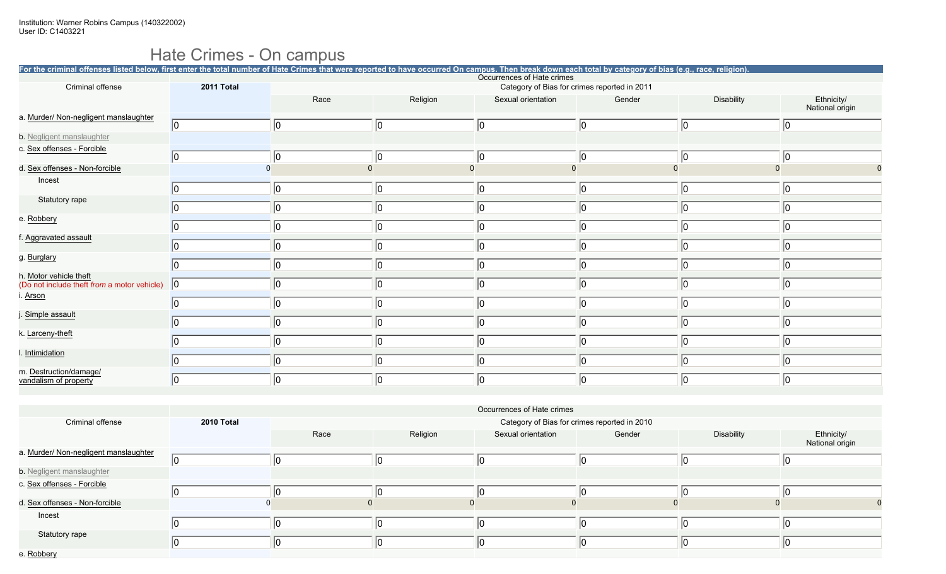### Hate Crimes - On campus

|                                                                       | For the criminal offenses listed below, first enter the total number of Hate Crimes that were reported to have occurred On campus. Then break down each total by category of bias (e.g., race, religion). |             |             |                            |                                              |             |                               |  |  |  |  |
|-----------------------------------------------------------------------|-----------------------------------------------------------------------------------------------------------------------------------------------------------------------------------------------------------|-------------|-------------|----------------------------|----------------------------------------------|-------------|-------------------------------|--|--|--|--|
| Criminal offense                                                      | 2011 Total                                                                                                                                                                                                |             |             | Occurrences of Hate crimes | Category of Bias for crimes reported in 2011 |             |                               |  |  |  |  |
|                                                                       |                                                                                                                                                                                                           | Race        | Religion    | Sexual orientation         | Gender                                       | Disability  | Ethnicity/<br>National origin |  |  |  |  |
| a. Murder/ Non-negligent manslaughter                                 | 0                                                                                                                                                                                                         | $ 0\rangle$ | $ 0\rangle$ | 10                         | 10                                           | $ 0\rangle$ | $ 0\rangle$                   |  |  |  |  |
| <b>b.</b> Negligent manslaughter                                      |                                                                                                                                                                                                           |             |             |                            |                                              |             |                               |  |  |  |  |
| c. Sex offenses - Forcible                                            | 10                                                                                                                                                                                                        | 10          | 10          | 10                         |                                              | $ 0\rangle$ | 10                            |  |  |  |  |
| d. Sex offenses - Non-forcible                                        | $\Omega$                                                                                                                                                                                                  |             |             |                            |                                              |             |                               |  |  |  |  |
| Incest                                                                |                                                                                                                                                                                                           | $ 0\rangle$ | 10          | 10                         |                                              | $ 0\rangle$ | 10                            |  |  |  |  |
| Statutory rape                                                        |                                                                                                                                                                                                           | $ 0\rangle$ | 10          | 10                         |                                              | $ 0\rangle$ | 10                            |  |  |  |  |
| e. Robbery                                                            |                                                                                                                                                                                                           | $ 0\rangle$ | 10          | 0                          |                                              | $ 0\rangle$ | $ 0\rangle$                   |  |  |  |  |
| f. Aggravated assault                                                 |                                                                                                                                                                                                           | $ 0\rangle$ | 10          | 10                         |                                              | $ 0\rangle$ | 10                            |  |  |  |  |
| g. Burglary                                                           | n                                                                                                                                                                                                         | $ 0\rangle$ | 10          | 10                         | n                                            | $ 0\rangle$ | 10                            |  |  |  |  |
| h. Motor vehicle theft<br>(Do not include theft from a motor vehicle) | $ 0\rangle$                                                                                                                                                                                               | $ 0\rangle$ | ۱n          | 10                         |                                              | $ 0\rangle$ | 10                            |  |  |  |  |
| i. Arson                                                              |                                                                                                                                                                                                           | $ 0\rangle$ | 10          | 10                         |                                              | $ 0\rangle$ | 10                            |  |  |  |  |
| j. Simple assault                                                     |                                                                                                                                                                                                           | $ 0\rangle$ | 10          | 10                         |                                              | $ 0\rangle$ | 10                            |  |  |  |  |
| k. Larceny-theft                                                      |                                                                                                                                                                                                           | $ 0\rangle$ | 10          | 10                         |                                              | $ 0\rangle$ | 10                            |  |  |  |  |
| I. Intimidation                                                       |                                                                                                                                                                                                           | 10          | 10          | 10                         |                                              | 10          | 10                            |  |  |  |  |
| m. Destruction/damage/<br>vandalism of property                       |                                                                                                                                                                                                           | $ 0\rangle$ | ۱O          | 10                         |                                              | 10          | 10                            |  |  |  |  |

|                                       |            | Occurrences of Hate crimes |          |                    |                                              |            |                               |  |  |  |
|---------------------------------------|------------|----------------------------|----------|--------------------|----------------------------------------------|------------|-------------------------------|--|--|--|
| Criminal offense                      | 2010 Total |                            |          |                    | Category of Bias for crimes reported in 2010 |            |                               |  |  |  |
|                                       |            | Race                       | Religion | Sexual orientation | Gender                                       | Disability | Ethnicity/<br>National origin |  |  |  |
| a. Murder/ Non-negligent manslaughter |            |                            |          |                    |                                              |            |                               |  |  |  |
| b. Negligent manslaughter             |            |                            |          |                    |                                              |            |                               |  |  |  |
| c. Sex offenses - Forcible            |            |                            |          |                    |                                              |            |                               |  |  |  |
| d. Sex offenses - Non-forcible        |            |                            |          |                    |                                              |            |                               |  |  |  |
| Incest                                |            |                            |          |                    |                                              |            |                               |  |  |  |
| Statutory rape                        |            |                            |          |                    |                                              |            |                               |  |  |  |
| e. Robbery                            |            |                            |          |                    |                                              |            |                               |  |  |  |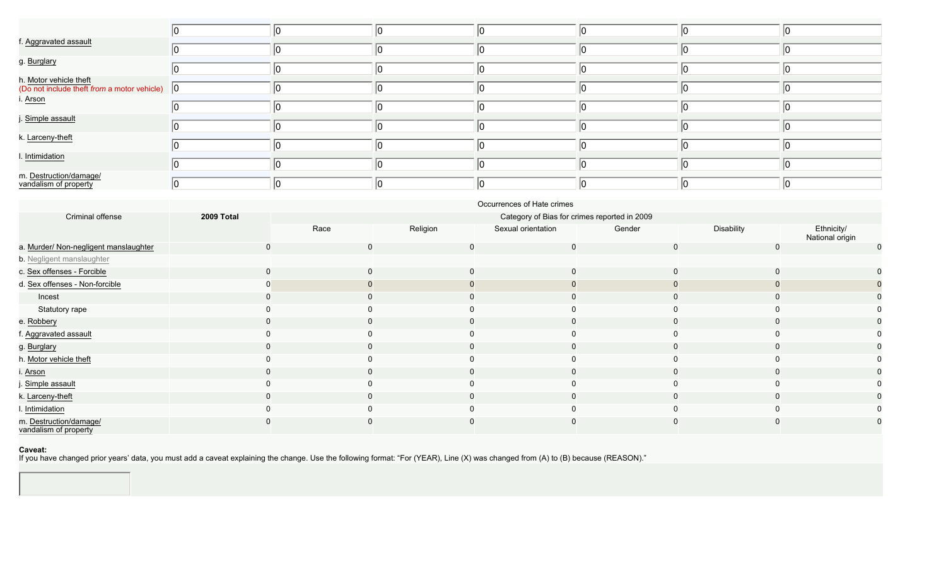| f. Aggravated assault                                                             |  |  |  |  |
|-----------------------------------------------------------------------------------|--|--|--|--|
| g. Burglary                                                                       |  |  |  |  |
| h. Motor vehicle theft<br>(Do not include theft from a motor vehicle) $\boxed{0}$ |  |  |  |  |
| i. <u>Arson</u>                                                                   |  |  |  |  |
| j. Simple assault                                                                 |  |  |  |  |
| k. Larceny-theft                                                                  |  |  |  |  |
| I. Intimidation                                                                   |  |  |  |  |
| m. Destruction/damage/<br>vandalism of property                                   |  |  |  |  |

|                                                 | Occurrences of Hate crimes |                                              |          |                    |        |             |                               |  |  |  |
|-------------------------------------------------|----------------------------|----------------------------------------------|----------|--------------------|--------|-------------|-------------------------------|--|--|--|
| Criminal offense                                | 2009 Total                 | Category of Bias for crimes reported in 2009 |          |                    |        |             |                               |  |  |  |
|                                                 |                            | Race                                         | Religion | Sexual orientation | Gender | Disability  | Ethnicity/<br>National origin |  |  |  |
| a. Murder/ Non-negligent manslaughter           |                            | $\mathbf 0$                                  | 0        | 0                  |        | 0           | $\mathbf 0$                   |  |  |  |
| b. Negligent manslaughter                       |                            |                                              |          |                    |        |             |                               |  |  |  |
| c. Sex offenses - Forcible                      |                            | $\mathbf 0$                                  | 0        |                    |        | $\mathbf 0$ | 0                             |  |  |  |
| d. Sex offenses - Non-forcible                  |                            |                                              |          |                    |        |             |                               |  |  |  |
| Incest                                          |                            | 0                                            |          |                    |        |             |                               |  |  |  |
| Statutory rape                                  |                            |                                              |          |                    |        |             | 0                             |  |  |  |
| e. Robbery                                      |                            | $\mathbf 0$                                  |          |                    |        | 0           | 0                             |  |  |  |
| f. Aggravated assault                           |                            | $\Omega$                                     |          |                    |        |             | 0                             |  |  |  |
| g. Burglary                                     |                            | $\mathbf 0$                                  |          |                    |        |             | 0                             |  |  |  |
| h. Motor vehicle theft                          |                            |                                              |          |                    |        |             | 0                             |  |  |  |
| i. Arson                                        |                            | $\mathbf 0$                                  |          |                    |        |             | $\mathbf{0}$                  |  |  |  |
| j. Simple assault                               |                            | 0                                            |          |                    |        |             | 0                             |  |  |  |
| k. Larceny-theft                                |                            | $\mathbf 0$                                  |          |                    |        |             | 0                             |  |  |  |
| I. Intimidation                                 |                            |                                              |          |                    |        |             | 0                             |  |  |  |
| m. Destruction/damage/<br>vandalism of property |                            |                                              |          |                    |        |             |                               |  |  |  |

#### **Caveat:**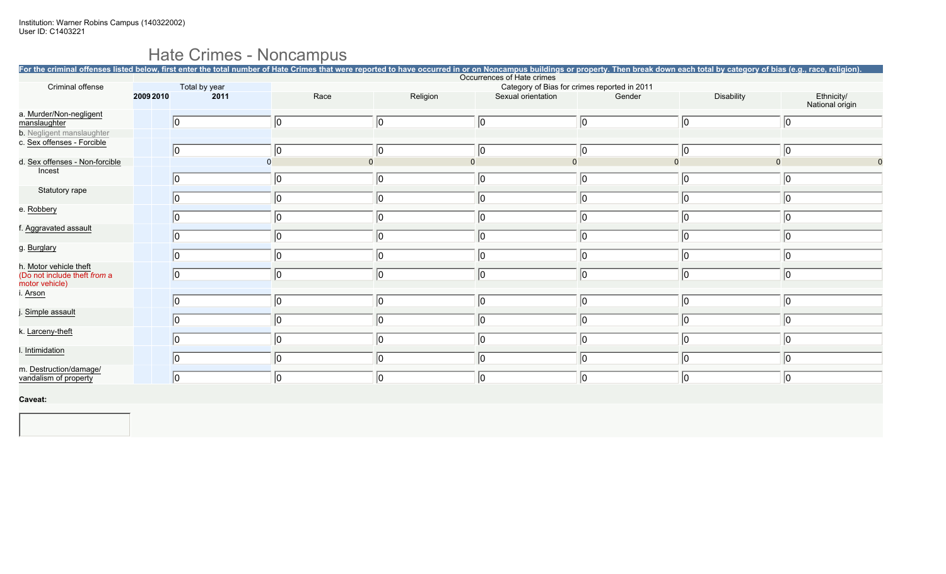# Hate Crimes - Noncampus

|                                                                          |           |               |             |                                                                            |             | For the criminal offenses listed below, first enter the total number of Hate Crimes that were reported to have occurred in or on Noncampus buildings or property. Then break down each total by category of bias (e.g., race, |             |                               |  |  |  |  |
|--------------------------------------------------------------------------|-----------|---------------|-------------|----------------------------------------------------------------------------|-------------|-------------------------------------------------------------------------------------------------------------------------------------------------------------------------------------------------------------------------------|-------------|-------------------------------|--|--|--|--|
| Criminal offense                                                         |           | Total by year |             | Occurrences of Hate crimes<br>Category of Bias for crimes reported in 2011 |             |                                                                                                                                                                                                                               |             |                               |  |  |  |  |
|                                                                          | 2009 2010 | 2011          | Race        | Religion                                                                   |             | Sexual orientation<br>Gender                                                                                                                                                                                                  | Disability  | Ethnicity/<br>National origin |  |  |  |  |
| a. Murder/Non-negligent<br>manslaughter                                  |           | 0             | $ 0\rangle$ | 10                                                                         | 10          | $ 0\rangle$                                                                                                                                                                                                                   | $ 0\rangle$ | $ 0\rangle$                   |  |  |  |  |
| b. Negligent manslaughter<br>c. Sex offenses - Forcible                  |           |               |             |                                                                            |             |                                                                                                                                                                                                                               |             |                               |  |  |  |  |
|                                                                          |           | 0             | 10          | $ 0\rangle$                                                                | 10          | $ 0\rangle$                                                                                                                                                                                                                   | $ 0\rangle$ | $ 0\rangle$                   |  |  |  |  |
| d. Sex offenses - Non-forcible                                           |           |               |             | $\mathbf{0}$                                                               |             | $\Omega$                                                                                                                                                                                                                      |             | $\Omega$                      |  |  |  |  |
| Incest                                                                   |           | 0             | $ 0\rangle$ | 10                                                                         | 10          | $ 0\rangle$                                                                                                                                                                                                                   | $ 0\rangle$ | $ 0\rangle$                   |  |  |  |  |
| Statutory rape                                                           |           | $ 0\rangle$   | $ 0\rangle$ | 10                                                                         | 10          | 10                                                                                                                                                                                                                            | 10          | $ 0\rangle$                   |  |  |  |  |
| e. Robbery                                                               |           | $ 0\rangle$   | $ 0\rangle$ | 10                                                                         | 10          | 10                                                                                                                                                                                                                            | 10          | 10                            |  |  |  |  |
| f. Aggravated assault                                                    |           | $ 0\rangle$   | 0           | 10                                                                         | 10          | 10                                                                                                                                                                                                                            | 10          | $ 0\rangle$                   |  |  |  |  |
| g. Burglary                                                              |           | 0             | $ 0\rangle$ | 10                                                                         | 10          | 10                                                                                                                                                                                                                            | $ 0\rangle$ | $ 0\rangle$                   |  |  |  |  |
| h. Motor vehicle theft<br>(Do not include theft from a<br>motor vehicle) |           | 0             | 0           | 10                                                                         | 10          | 10                                                                                                                                                                                                                            | $ 0\rangle$ | $ 0\rangle$                   |  |  |  |  |
| i. Arson                                                                 |           | 0             | $ 0\rangle$ | 10                                                                         | $ 0\rangle$ | 10                                                                                                                                                                                                                            | $ 0\rangle$ | 10                            |  |  |  |  |
| Simple assault                                                           |           | $ 0\rangle$   | 0           | 10                                                                         | 10          | 10                                                                                                                                                                                                                            | 10          | 10                            |  |  |  |  |
| k. Larceny-theft                                                         |           | 0             | $ 0\rangle$ | 10                                                                         | 10          | 10                                                                                                                                                                                                                            | $ 0\rangle$ | 0                             |  |  |  |  |
| I. Intimidation                                                          |           | 0             | 0           | 10                                                                         | 10          | 10                                                                                                                                                                                                                            | 10          | 10                            |  |  |  |  |
| m. Destruction/damage/<br>vandalism of property                          |           | 0             | $ 0\rangle$ | 0                                                                          | 10          | $ 0\rangle$                                                                                                                                                                                                                   | $ 0\rangle$ | 0                             |  |  |  |  |
| Caveat:                                                                  |           |               |             |                                                                            |             |                                                                                                                                                                                                                               |             |                               |  |  |  |  |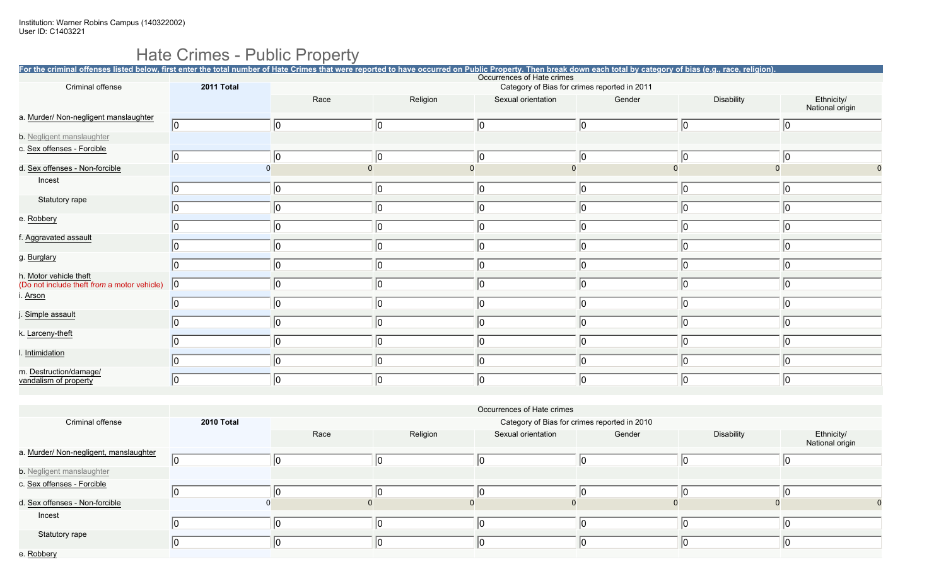## Hate Crimes - Public Property

| For the criminal offenses listed below, first enter the total number of Hate Crimes that were reported to have occurred on Public Property. Then break down each total by category of bias (e.g., race, religion). |            |          |          |                            |                                              |             |                 |  |  |  |
|--------------------------------------------------------------------------------------------------------------------------------------------------------------------------------------------------------------------|------------|----------|----------|----------------------------|----------------------------------------------|-------------|-----------------|--|--|--|
| Criminal offense                                                                                                                                                                                                   | 2011 Total |          |          | Occurrences of Hate crimes | Category of Bias for crimes reported in 2011 |             |                 |  |  |  |
|                                                                                                                                                                                                                    |            | Race     | Religion | Sexual orientation         | Gender                                       | Disability  | Ethnicity/      |  |  |  |
| a. Murder/ Non-negligent manslaughter                                                                                                                                                                              |            |          |          |                            |                                              |             | National origin |  |  |  |
|                                                                                                                                                                                                                    | 0          | 0        | 10       | 10                         | $ 0\rangle$                                  | $ 0\rangle$ | $ 0\rangle$     |  |  |  |
| <b>b.</b> Negligent manslaughter                                                                                                                                                                                   |            |          |          |                            |                                              |             |                 |  |  |  |
| c. Sex offenses - Forcible                                                                                                                                                                                         | 0          | 10       | 10       | 10                         | 10                                           | $ 0\rangle$ | 10              |  |  |  |
| d. Sex offenses - Non-forcible                                                                                                                                                                                     |            | $\Omega$ |          |                            |                                              |             |                 |  |  |  |
| Incest                                                                                                                                                                                                             |            |          |          |                            |                                              |             |                 |  |  |  |
|                                                                                                                                                                                                                    |            | 0        | 10       | 10                         | 10                                           | $ 0\rangle$ | $ 0\rangle$     |  |  |  |
| Statutory rape                                                                                                                                                                                                     | 10         | 10       | 10       | 0                          |                                              | 10          | 10              |  |  |  |
| e. Robbery                                                                                                                                                                                                         |            | 0        | 10       | 0                          |                                              | $ 0\rangle$ | 10              |  |  |  |
| f. Aggravated assault                                                                                                                                                                                              |            |          |          |                            |                                              |             |                 |  |  |  |
|                                                                                                                                                                                                                    |            | 10       | 10       | 0                          |                                              | 10          | 10              |  |  |  |
| g. Burglary                                                                                                                                                                                                        | IO.        | 10       | 10       | 10                         | ۱O                                           | 10          | 10              |  |  |  |
| h. Motor vehicle theft                                                                                                                                                                                             |            |          |          |                            |                                              |             |                 |  |  |  |
| (Do not include theft from a motor vehicle)                                                                                                                                                                        | 0          | 10       |          | O                          |                                              | l٥          | 10              |  |  |  |
| i. Arson                                                                                                                                                                                                           |            | 0        | 10       |                            |                                              | 10          | $ 0\rangle$     |  |  |  |
| Simple assault                                                                                                                                                                                                     | 10         | 0        | 10       | 0                          |                                              | $ 0\rangle$ | 10              |  |  |  |
| k. Larceny-theft                                                                                                                                                                                                   |            |          |          |                            |                                              |             |                 |  |  |  |
|                                                                                                                                                                                                                    |            | 0        | 10       | 0                          | 10                                           | $ 0\rangle$ | $ 0\rangle$     |  |  |  |
| . Intimidation                                                                                                                                                                                                     |            | 0        | 10       | 0                          |                                              | I٥          | 10              |  |  |  |
| m. Destruction/damage/<br>vandalism of property                                                                                                                                                                    |            | 0        | 10       |                            |                                              | 10          | 10              |  |  |  |

|                                        |            | Occurrences of Hate crimes |          |                    |                                              |            |                               |  |  |  |
|----------------------------------------|------------|----------------------------|----------|--------------------|----------------------------------------------|------------|-------------------------------|--|--|--|
| Criminal offense                       | 2010 Total |                            |          |                    | Category of Bias for crimes reported in 2010 |            |                               |  |  |  |
|                                        |            | Race                       | Religion | Sexual orientation | Gender                                       | Disability | Ethnicity/<br>National origin |  |  |  |
| a. Murder/ Non-negligent, manslaughter |            |                            |          |                    |                                              |            |                               |  |  |  |
| b. Negligent manslaughter              |            |                            |          |                    |                                              |            |                               |  |  |  |
| c. Sex offenses - Forcible             |            |                            |          |                    |                                              |            |                               |  |  |  |
| d. Sex offenses - Non-forcible         |            |                            |          |                    |                                              |            |                               |  |  |  |
| Incest                                 |            |                            |          |                    |                                              |            |                               |  |  |  |
| Statutory rape                         |            |                            |          |                    |                                              |            |                               |  |  |  |
| e. Robbery                             |            |                            |          |                    |                                              |            |                               |  |  |  |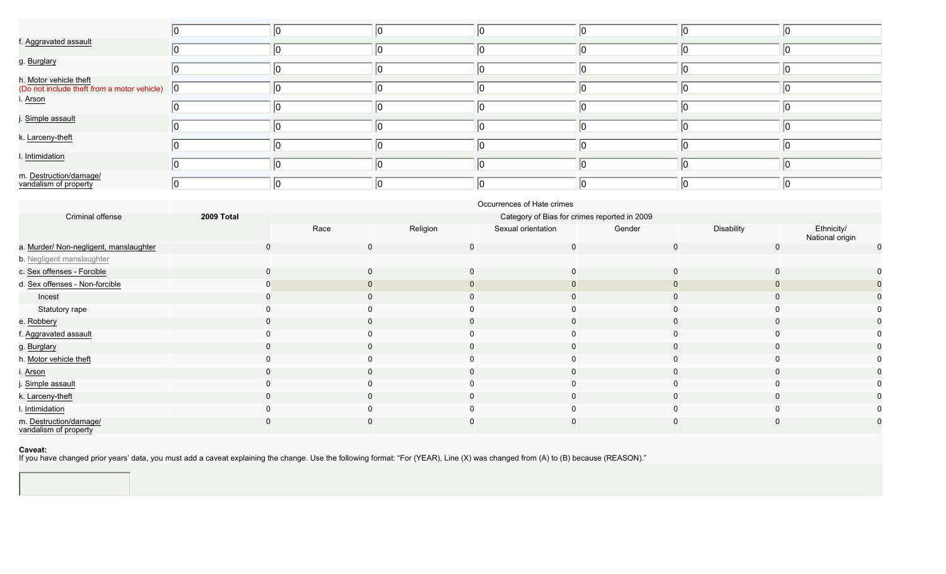| f. Aggravated assault                                                             |  |  |  |  |
|-----------------------------------------------------------------------------------|--|--|--|--|
| g. Burglary                                                                       |  |  |  |  |
| h. Motor vehicle theft<br>(Do not include theft from a motor vehicle) $\boxed{0}$ |  |  |  |  |
| i. <u>Arson</u>                                                                   |  |  |  |  |
| j. Simple assault                                                                 |  |  |  |  |
| k. Larceny-theft                                                                  |  |  |  |  |
| I. Intimidation                                                                   |  |  |  |  |
| m. Destruction/damage/<br>vandalism of property                                   |  |  |  |  |

|                                                 | Occurrences of Hate crimes |                                              |          |                    |        |             |                               |  |  |  |
|-------------------------------------------------|----------------------------|----------------------------------------------|----------|--------------------|--------|-------------|-------------------------------|--|--|--|
| Criminal offense                                | 2009 Total                 | Category of Bias for crimes reported in 2009 |          |                    |        |             |                               |  |  |  |
|                                                 |                            | Race                                         | Religion | Sexual orientation | Gender | Disability  | Ethnicity/<br>National origin |  |  |  |
| a. Murder/ Non-negligent, manslaughter          |                            | $\mathbf 0$                                  | 0        | 0                  |        | 0           | $\mathbf 0$                   |  |  |  |
| b. Negligent manslaughter                       |                            |                                              |          |                    |        |             |                               |  |  |  |
| c. Sex offenses - Forcible                      |                            | $\mathbf 0$                                  | 0        |                    |        | $\mathbf 0$ | 0                             |  |  |  |
| d. Sex offenses - Non-forcible                  |                            |                                              |          |                    |        |             |                               |  |  |  |
| Incest                                          |                            | 0                                            |          |                    |        |             |                               |  |  |  |
| Statutory rape                                  |                            |                                              |          |                    |        |             | 0                             |  |  |  |
| e. Robbery                                      |                            | $\mathbf 0$                                  |          |                    |        | 0           | 0                             |  |  |  |
| f. Aggravated assault                           |                            | $\Omega$                                     |          |                    |        |             | 0                             |  |  |  |
| g. Burglary                                     |                            | $\mathbf 0$                                  |          |                    |        |             | 0                             |  |  |  |
| h. Motor vehicle theft                          |                            |                                              |          |                    |        |             | 0                             |  |  |  |
| i. Arson                                        |                            | $\mathbf 0$                                  |          |                    |        |             | 0                             |  |  |  |
| j. Simple assault                               |                            | 0                                            |          |                    |        |             | 0                             |  |  |  |
| k. Larceny-theft                                |                            | $\mathbf 0$                                  |          |                    |        |             | 0                             |  |  |  |
| I. Intimidation                                 |                            |                                              |          |                    |        |             | 0                             |  |  |  |
| m. Destruction/damage/<br>vandalism of property |                            |                                              |          |                    |        |             |                               |  |  |  |

#### **Caveat:**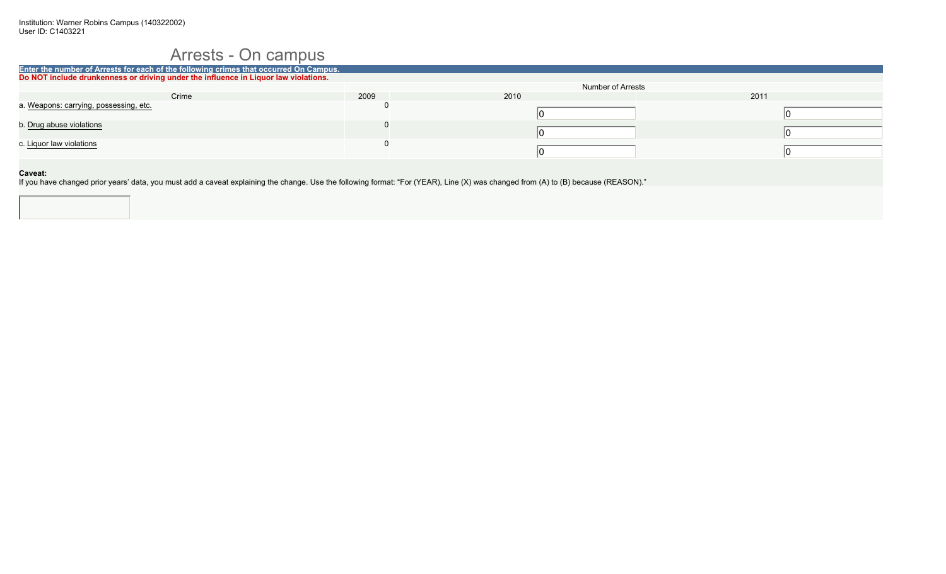### Arrests - On campus

| Enter the number of Arrests for each of the following crimes that occurred On Campus. |      |                   |      |
|---------------------------------------------------------------------------------------|------|-------------------|------|
| Do NOT include drunkenness or driving under the influence in Liquor law violations.   |      |                   |      |
|                                                                                       |      | Number of Arrests |      |
| Crime                                                                                 | 2009 | 2010              | 2011 |
| a. Weapons: carrying, possessing, etc.                                                |      |                   |      |
|                                                                                       |      |                   |      |
| b. Drug abuse violations                                                              |      |                   |      |
|                                                                                       |      |                   |      |
| c. Liquor law violations                                                              |      |                   |      |
|                                                                                       |      |                   |      |
|                                                                                       |      |                   |      |
| Caveat:                                                                               |      |                   |      |

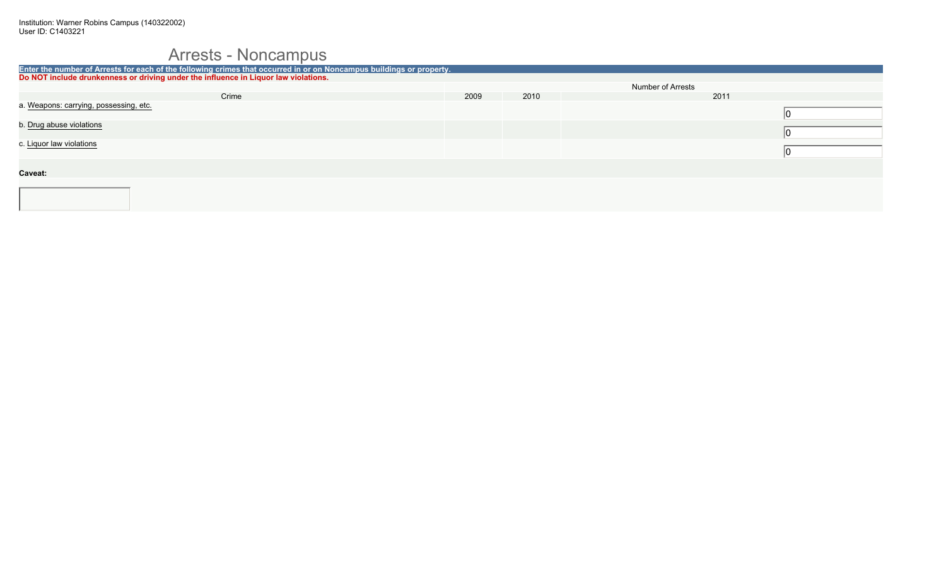## Arrests - Noncampus

| Enter the number of Arrests for each of the following crimes that occurred in or on Noncampus buildings or property. |      |      |                          |      |
|----------------------------------------------------------------------------------------------------------------------|------|------|--------------------------|------|
| Do NOT include drunkenness or driving under the influence in Liquor law violations.                                  |      |      |                          |      |
|                                                                                                                      |      |      | <b>Number of Arrests</b> |      |
| Crime                                                                                                                | 2009 | 2010 |                          | 2011 |
| a. Weapons: carrying, possessing, etc.                                                                               |      |      |                          |      |
|                                                                                                                      |      |      |                          |      |
| b. Drug abuse violations                                                                                             |      |      |                          |      |
|                                                                                                                      |      |      |                          |      |
| c. Liquor law violations                                                                                             |      |      |                          |      |
|                                                                                                                      |      |      |                          |      |
|                                                                                                                      |      |      |                          |      |
| Caveat:                                                                                                              |      |      |                          |      |
|                                                                                                                      |      |      |                          |      |
|                                                                                                                      |      |      |                          |      |
|                                                                                                                      |      |      |                          |      |
|                                                                                                                      |      |      |                          |      |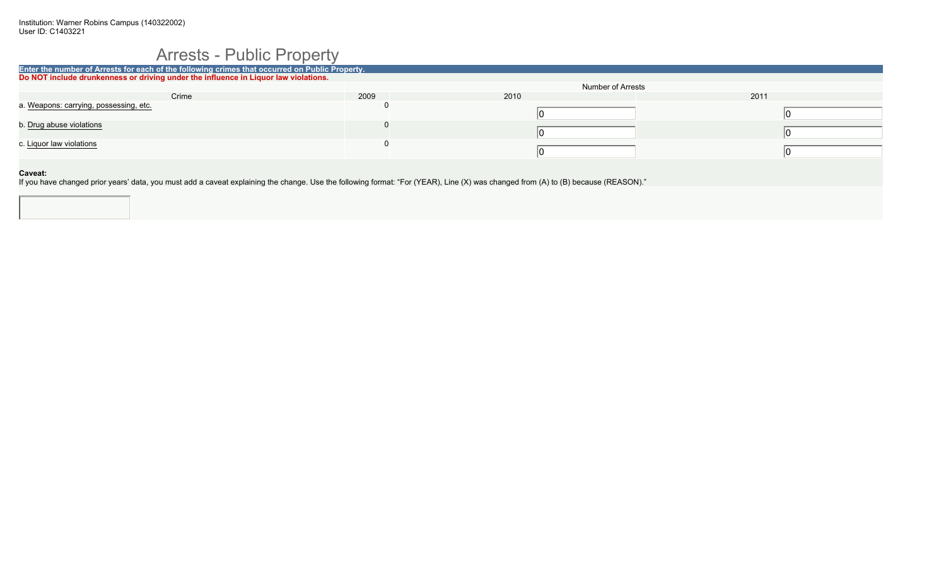### Arrests - Public Property

| Enter the number of Arrests for each of the following crimes that occurred on Public Property. |      |                   |      |  |
|------------------------------------------------------------------------------------------------|------|-------------------|------|--|
| Do NOT include drunkenness or driving under the influence in Liquor law violations.            |      |                   |      |  |
|                                                                                                |      | Number of Arrests |      |  |
| Crime                                                                                          | 2009 | 2010              | 2011 |  |
| a. Weapons: carrying, possessing, etc.                                                         |      |                   |      |  |
|                                                                                                |      |                   |      |  |
| b. Drug abuse violations                                                                       |      |                   |      |  |
|                                                                                                |      |                   |      |  |
| c. Liquor law violations                                                                       |      |                   |      |  |
|                                                                                                |      |                   |      |  |
|                                                                                                |      |                   |      |  |
| Caveat:                                                                                        |      |                   |      |  |

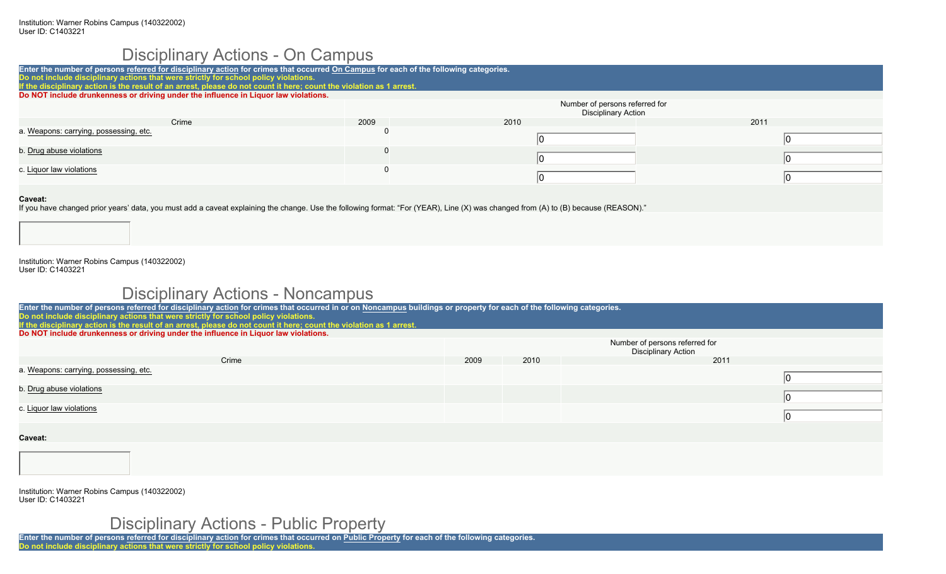### Disciplinary Actions - On Campus

| Enter the number of persons referred for disciplinary action for crimes that occurred On Campus for each of the following categories.                                                                |      |                                                              |      |  |  |
|------------------------------------------------------------------------------------------------------------------------------------------------------------------------------------------------------|------|--------------------------------------------------------------|------|--|--|
| Do not include disciplinary actions that were strictly for school policy violations.                                                                                                                 |      |                                                              |      |  |  |
| If the disciplinary action is the result of an arrest, please do not count it here; count the violation as 1 arrest.                                                                                 |      |                                                              |      |  |  |
| Do NOT include drunkenness or driving under the influence in Liquor law violations.                                                                                                                  |      |                                                              |      |  |  |
|                                                                                                                                                                                                      |      | Number of persons referred for<br><b>Disciplinary Action</b> |      |  |  |
| Crime                                                                                                                                                                                                | 2009 | 2010                                                         | 2011 |  |  |
| a. Weapons: carrying, possessing, etc.                                                                                                                                                               |      |                                                              |      |  |  |
| b. Drug abuse violations                                                                                                                                                                             |      |                                                              |      |  |  |
| c. Liguor law violations                                                                                                                                                                             |      |                                                              |      |  |  |
| <b>Caveat:</b><br>If you have changed prior years' data, you must add a caveat explaining the change. Use the following format: "For (YEAR), Line (X) was changed from (A) to (B) because (REASON)." |      |                                                              |      |  |  |

Institution: Warner Robins Campus (140322002) User ID: C1403221

### Disciplinary Actions - Noncampus

| Enter the number of persons referred for disciplinary action for crimes that occurred in or on Noncampus buildings or property for each of the following categories. |                                                              |      |      |  |
|----------------------------------------------------------------------------------------------------------------------------------------------------------------------|--------------------------------------------------------------|------|------|--|
| Do not include disciplinary actions that were strictly for school policy violations.                                                                                 |                                                              |      |      |  |
| If the disciplinary action is the result of an arrest, please do not count it here; count the violation as 1 arrest.                                                 |                                                              |      |      |  |
| Do NOT include drunkenness or driving under the influence in Liquor law violations.                                                                                  |                                                              |      |      |  |
|                                                                                                                                                                      | Number of persons referred for<br><b>Disciplinary Action</b> |      |      |  |
| Crime                                                                                                                                                                | 2009                                                         | 2010 | 2011 |  |
| a. Weapons: carrying, possessing, etc.                                                                                                                               |                                                              |      |      |  |
| b. Drug abuse violations                                                                                                                                             |                                                              |      |      |  |
| c. Liquor law violations                                                                                                                                             |                                                              |      |      |  |
| Caveat:                                                                                                                                                              |                                                              |      |      |  |
|                                                                                                                                                                      |                                                              |      |      |  |

Institution: Warner Robins Campus (140322002) User ID: C1403221

## Disciplinary Actions - Public Property